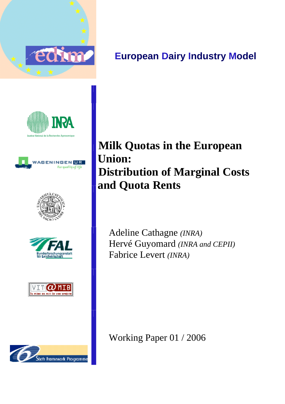

# **European Dairy Industry Model**













# **Milk Quotas in the European Union: Distribution of Marginal Costs and Quota Rents**

Adeline Cathagne *(INRA)* Hervé Guyomard *(INRA and CEPII)* Fabrice Levert *(INRA)*

Working Paper 01 / 2006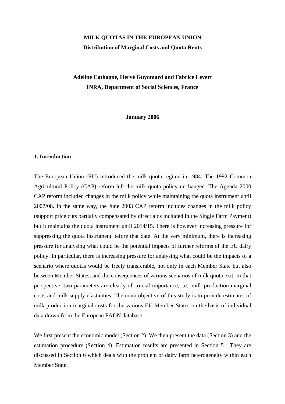# **MILK QUOTAS IN THE EUROPEAN UNION Distribution of Marginal Costs and Quota Rents**

# **Adeline Cathagne, Hervé Guyomard and Fabrice Levert INRA, Department of Social Sciences, France**

**January 2006** 

### **1. Introduction**

The European Union (EU) introduced the milk quota regime in 1984. The 1992 Common Agricultural Policy (CAP) reform left the milk quota policy unchanged. The Agenda 2000 CAP reform included changes in the milk policy while maintaining the quota instrument until 2007/08. In the same way, the June 2003 CAP reform includes changes in the milk policy (support price cuts partially compensated by direct aids included in the Single Farm Payment) but it maintains the quota instrument until 2014/15. There is however increasing pressure for suppressing the quota instrument before that date. At the very minimum, there is increasing pressure for analysing what could be the potential impacts of further reforms of the EU dairy policy. In particular, there is increasing pressure for analysing what could be the impacts of a scenario where quotas would be freely transferable, not only in each Member State but also between Member States, and the consequences of various scenarios of milk quota exit. In that perspective, two parameters are clearly of crucial importance, i.e., milk production marginal costs and milk supply elasticities. The main objective of this study is to provide estimates of milk production marginal costs for the various EU Member States on the basis of individual data drawn from the European FADN database.

We first present the economic model (Section 2). We then present the data (Section 3) and the estimation procedure (Section 4). Estimation results are presented in Section 5 . They are discussed in Section 6 which deals with the problem of dairy farm heterogeneity within each Member State.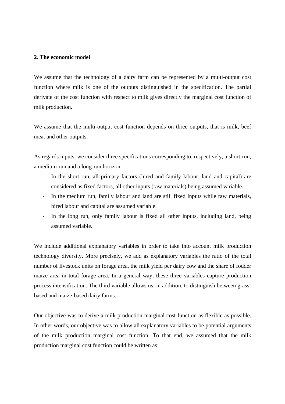#### **2. The economic model**

We assume that the technology of a dairy farm can be represented by a multi-output cost function where milk is one of the outputs distinguished in the specification. The partial derivate of the cost function with respect to milk gives directly the marginal cost function of milk production.

We assume that the multi-output cost function depends on three outputs, that is milk, beef meat and other outputs.

As regards inputs, we consider three specifications corresponding to, respectively, a short-run, a medium-run and a long-run horizon.

- In the short run, all primary factors (hired and family labour, land and capital) are considered as fixed factors, all other inputs (raw materials) being assumed variable.
- In the medium run, family labour and land are still fixed inputs while raw materials, hired labour and capital are assumed variable.
- In the long run, only family labour is fixed all other inputs, including land, being assumed variable.

We include additional explanatory variables in order to take into account milk production technology diversity. More precisely, we add as explanatory variables the ratio of the total number of livestock units on forage area, the milk yield per dairy cow and the share of fodder maize area in total forage area. In a general way, these three variables capture production process intensification. The third variable allows us, in addition, to distinguish between grassbased and maize-based dairy farms.

Our objective was to derive a milk production marginal cost function as flexible as possible. In other words, our objective was to allow all explanatory variables to be potential arguments of the milk production marginal cost function. To that end, we assumed that the milk production marginal cost function could be written as: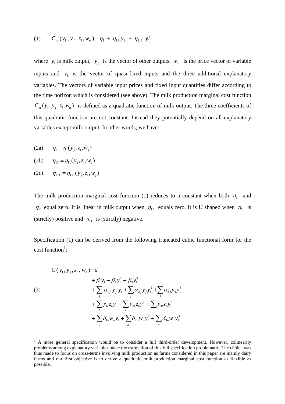(1) 
$$
C_m(y_1, y_j, z_l, w_n) = \eta_1 + \eta_{11} y_1 + \eta_{111} y_1^2
$$

where  $y_i$  is milk output,  $y_j$  is the vector of other outputs,  $w_n$  is the price vector of variable inputs and  $z_i$  is the vector of quasi-fixed inputs and the three additional explanatory variables. The vectors of variable input prices and fixed input quantities differ according to the time horizon which is considered (see above). The milk production marginal cost function  $C_m(y_1, y_1, z_1, w_n)$  is defined as a quadratic function of milk output. The three coefficients of this quadratic function are not constant. Instead they potentially depend on all explanatory variables except milk output. In other words, we have:

- (2a)  $\eta_1 = \eta_1(y_i, z_i, w_i)$
- (2b)  $\eta_{11} = \eta_{11} (y_i, z_i, w_i)$
- $(2c)$   $\eta_{111} \equiv \eta_{111} (y_i, z_i, w_i)$

 $\overline{a}$ 

The milk production marginal cost function (1) reduces to a constant when both  $\eta_1$  and  $\eta_{11}$  equal zero. It is linear in milk output when  $\eta_{11}$  equals zero. It is U shaped when  $\eta_1$  is (strictly) positive and  $\eta_{11}$  is (strictly) negative.

Specification (1) can be derived from the following truncated cubic functional form for the  $\text{cost function}^1$ :

(3)  
\n
$$
C(y_1, y_j, z_l, w_n) = d
$$
\n
$$
+ \beta_1 y_1 + \beta_2 y_1^2 + \beta_3 y_1^3
$$
\n
$$
+ \sum_j \alpha_{1j} y_j y_1 + \sum_j \alpha_{2j} y_j y_1^2 + \sum_j \alpha_{3j} y_j y_1^3
$$
\n
$$
+ \sum_l \gamma_{1l} z_l y_1 + \sum_l \gamma_{2l} z_l y_1^2 + \sum_l \gamma_{3l} z_l y_1^3
$$
\n
$$
+ \sum_n \delta_{1n} w_n y_1 + \sum_n \delta_{2n} w_n y_1^2 + \sum_n \delta_{3n} w_n y_1^3
$$

 $<sup>1</sup>$  A more general specification would be to consider a full third-order development. However, colinearity</sup> problems among explanatory variables make the estimation of this full specification problematic. The choice was thus made to focus on cross-terms involving milk production as farms considered in this paper are mainly dairy farms and our first objective is to derive a quadratic milk production marginal cost function as flexible as possible.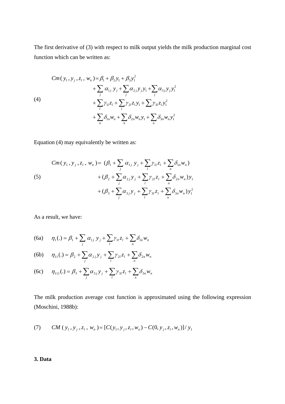The first derivative of (3) with respect to milk output yields the milk production marginal cost function which can be written as:

(4)  
\n
$$
Cm(y_1, y_j, z_l, w_n) = \beta_1 + \beta_2 y_1 + \beta_3 y_1^2 + \sum_j \alpha_{1j} y_j + \sum_j \alpha_{2j} y_j y_1 + \sum_j \alpha_{3j} y_j y_1^2 + \sum_l \gamma_{1l} z_l + \sum_l \gamma_{2l} z_l y_1 + \sum_l \gamma_{3l} z_l y_1^2 + \sum_n \delta_{1n} w_n + \sum_n \delta_{2n} w_n y_1 + \sum_n \delta_{3n} w_n y_1^2
$$

Equation (4) may equivalently be written as:

(5)  
\n
$$
Cm(y_1, y_j, z_l, w_n) = (\beta_1 + \sum_j \alpha_{1j} y_j + \sum_l \gamma_{1l} z_l + \sum_n \delta_{1n} w_n)
$$
\n
$$
+ (\beta_2 + \sum_j \alpha_{2j} y_j + \sum_l \gamma_{2l} z_l + \sum_n \delta_{2n} w_n) y_1
$$
\n
$$
+ (\beta_3 + \sum_j \alpha_{3j} y_j + \sum_l \gamma_{3l} z_l + \sum_n \delta_{3n} w_n) y_1^2
$$

As a result, we have:

(6a) 
$$
\eta_1(.) = \beta_1 + \sum_j \alpha_{1j} y_j + \sum_l \gamma_{1l} z_l + \sum_n \delta_{1n} w_n
$$

(6b) 
$$
\eta_{11}(.) = \beta_2 + \sum_j \alpha_{2j} y_j + \sum_l \gamma_{2l} z_l + \sum_n \delta_{2n} w_n
$$

(6c) 
$$
\eta_{111}(.) = \beta_3 + \sum_j \alpha_{3j} y_j + \sum_l \gamma_{3l} z_l + \sum_n \delta_{3n} w_n
$$

The milk production average cost function is approximated using the following expression (Moschini, 1988b):

(7) 
$$
CM(y_1, y_j, z_l, w_n) = [C(y_1, y_j, z_l, w_n) - C(0, y_j, z_l, w_n)]/y_1
$$

## **3. Data**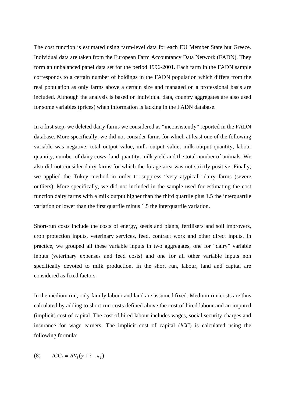The cost function is estimated using farm-level data for each EU Member State but Greece. Individual data are taken from the European Farm Accountancy Data Network (FADN). They form an unbalanced panel data set for the period 1996-2001. Each farm in the FADN sample corresponds to a certain number of holdings in the FADN population which differs from the real population as only farms above a certain size and managed on a professional basis are included. Although the analysis is based on individual data, country aggregates are also used for some variables (prices) when information is lacking in the FADN database.

In a first step, we deleted dairy farms we considered as "inconsistently" reported in the FADN database. More specifically, we did not consider farms for which at least one of the following variable was negative: total output value, milk output value, milk output quantity, labour quantity, number of dairy cows, land quantity, milk yield and the total number of animals. We also did not consider dairy farms for which the forage area was not strictly positive. Finally, we applied the Tukey method in order to suppress "very atypical" dairy farms (severe outliers). More specifically, we did not included in the sample used for estimating the cost function dairy farms with a milk output higher than the third quartile plus 1.5 the interquartile variation or lower than the first quartile minus 1.5 the interquartile variation.

Short-run costs include the costs of energy, seeds and plants, fertilisers and soil improvers, crop protection inputs, veterinary services, feed, contract work and other direct inputs. In practice, we grouped all these variable inputs in two aggregates, one for "dairy" variable inputs (veterinary expenses and feed costs) and one for all other variable inputs non specifically devoted to milk production. In the short run, labour, land and capital are considered as fixed factors.

In the medium run, only family labour and land are assumed fixed. Medium-run costs are thus calculated by adding to short-run costs defined above the cost of hired labour and an imputed (implicit) cost of capital. The cost of hired labour includes wages, social security charges and insurance for wage earners. The implicit cost of capital (*ICC*) is calculated using the following formula:

$$
(8) \qquad ICC_i = RV_i(\gamma + i - \pi_i)
$$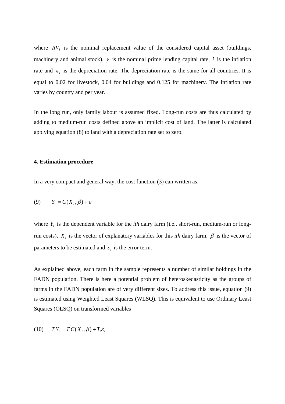where  $RV<sub>i</sub>$  is the nominal replacement value of the considered capital asset (buildings, machinery and animal stock),  $\gamma$  is the nominal prime lending capital rate, *i* is the inflation rate and  $\pi$ <sup>*l*</sup> is the depreciation rate. The depreciation rate is the same for all countries. It is equal to 0.02 for livestock, 0.04 for buildings and 0.125 for machinery. The inflation rate varies by country and per year.

In the long run, only family labour is assumed fixed. Long-run costs are thus calculated by adding to medium-run costs defined above an implicit cost of land. The latter is calculated applying equation (8) to land with a depreciation rate set to zero.

#### **4. Estimation procedure**

In a very compact and general way, the cost function (3) can written as:

$$
(9) \qquad Y_i = C(X_i, \beta) + \varepsilon_i
$$

where *Y<sub>i</sub>* is the dependent variable for the *ith* dairy farm (i.e., short-run, medium-run or longrun costs),  $X_i$  is the vector of explanatory variables for this *ith* dairy farm,  $\beta$  is the vector of parameters to be estimated and  $\varepsilon_i$  is the error term.

As explained above, each farm in the sample represents a number of similar holdings in the FADN population. There is here a potential problem of heteroskedasticity as the groups of farms in the FADN population are of very different sizes. To address this issue, equation (9) is estimated using Weighted Least Squares (WLSQ). This is equivalent to use Ordinary Least Squares (OLSQ) on transformed variables

$$
(10) \qquad T_i Y_i = T_i C(X_i, \beta) + T_i \varepsilon_i
$$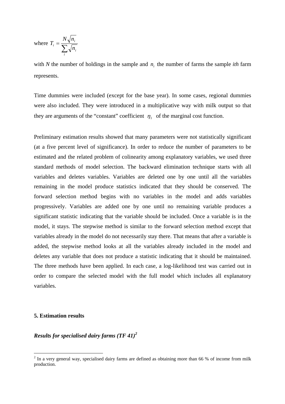where 
$$
T_i = \frac{N\sqrt{n_i}}{\sum_i \sqrt{n_i}}
$$

with *N* the number of holdings in the sample and  $n<sub>i</sub>$  the number of farms the sample *ith* farm represents.

Time dummies were included (except for the base year). In some cases, regional dummies were also included. They were introduced in a multiplicative way with milk output so that they are arguments of the "constant" coefficient  $\eta_1$  of the marginal cost function.

Preliminary estimation results showed that many parameters were not statistically significant (at a five percent level of significance). In order to reduce the number of parameters to be estimated and the related problem of colinearity among explanatory variables, we used three standard methods of model selection. The backward elimination technique starts with all variables and deletes variables. Variables are deleted one by one until all the variables remaining in the model produce statistics indicated that they should be conserved. The forward selection method begins with no variables in the model and adds variables progressively. Variables are added one by one until no remaining variable produces a significant statistic indicating that the variable should be included. Once a variable is in the model, it stays. The stepwise method is similar to the forward selection method except that variables already in the model do not necessarily stay there. That means that after a variable is added, the stepwise method looks at all the variables already included in the model and deletes any variable that does not produce a statistic indicating that it should be maintained. The three methods have been applied. In each case, a log-likelihood test was carried out in order to compare the selected model with the full model which includes all explanatory variables.

#### **5. Estimation results**

 $\overline{a}$ 

*Results for specialised dairy farms (TF 41)<sup>2</sup>*

 $2^{2}$  In a very general way, specialised dairy farms are defined as obtaining more than 66 % of income from milk production.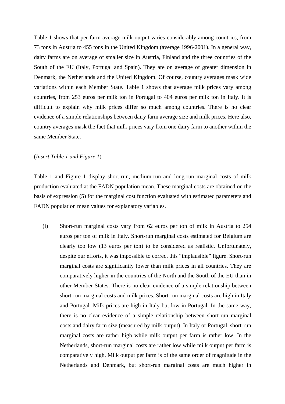Table 1 shows that per-farm average milk output varies considerably among countries, from 73 tons in Austria to 455 tons in the United Kingdom (average 1996-2001). In a general way, dairy farms are on average of smaller size in Austria, Finland and the three countries of the South of the EU (Italy, Portugal and Spain). They are on average of greater dimension in Denmark, the Netherlands and the United Kingdom. Of course, country averages mask wide variations within each Member State. Table 1 shows that average milk prices vary among countries, from 253 euros per milk ton in Portugal to 404 euros per milk ton in Italy. It is difficult to explain why milk prices differ so much among countries. There is no clear evidence of a simple relationships between dairy farm average size and milk prices. Here also, country averages mask the fact that milk prices vary from one dairy farm to another within the same Member State.

#### (*Insert Table 1 and Figure 1*)

Table 1 and Figure 1 display short-run, medium-run and long-run marginal costs of milk production evaluated at the FADN population mean. These marginal costs are obtained on the basis of expression (5) for the marginal cost function evaluated with estimated parameters and FADN population mean values for explanatory variables.

(i) Short-run marginal costs vary from 62 euros per ton of milk in Austria to 254 euros per ton of milk in Italy. Short-run marginal costs estimated for Belgium are clearly too low (13 euros per ton) to be considered as realistic. Unfortunately, despite our efforts, it was impossible to correct this "implausible" figure. Short-run marginal costs are significantly lower than milk prices in all countries. They are comparatively higher in the countries of the North and the South of the EU than in other Member States. There is no clear evidence of a simple relationship between short-run marginal costs and milk prices. Short-run marginal costs are high in Italy and Portugal. Milk prices are high in Italy but low in Portugal. In the same way, there is no clear evidence of a simple relationship between short-run marginal costs and dairy farm size (measured by milk output). In Italy or Portugal, short-run marginal costs are rather high while milk output per farm is rather low. In the Netherlands, short-run marginal costs are rather low while milk output per farm is comparatively high. Milk output per farm is of the same order of magnitude in the Netherlands and Denmark, but short-run marginal costs are much higher in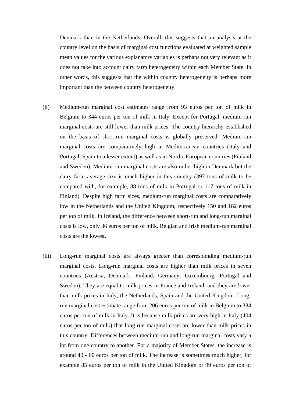Denmark than in the Netherlands. Overall, this suggests that an analysis at the country level on the basis of marginal cost functions evaluated at weighted sample mean values for the various explanatory variables is perhaps not very relevant as it does not take into account dairy farm heterogeneity within each Member State. In other words, this suggests that the within country heterogeneity is perhaps more important than the between country heterogeneity.

- (ii) Medium-run marginal cost estimates range from 93 euros per ton of milk in Belgium to 344 euros per ton of milk in Italy. Except for Portugal, medium-run marginal costs are still lower than milk prices. The country hierarchy established on the basis of short-run marginal costs is globally preserved. Medium-run marginal costs are comparatively high in Mediterranean countries (Italy and Portugal, Spain to a lesser extent) as well as in Nordic European countries (Finland and Sweden). Medium-run marginal costs are also rather high in Denmark but the dairy farm average size is much higher in this country (397 tons of milk to be compared with, for example, 88 tons of milk in Portugal or 117 tons of milk in Finland). Despite high farm sizes, medium-run marginal costs are comparatively low in the Netherlands and the United Kingdom, respectively 150 and 182 euros per ton of milk. In Ireland, the difference between short-run and long-run marginal costs is low, only 36 euros per ton of milk. Belgian and Irish medium-run marginal costs are the lowest.
- (iii) Long-run marginal costs are always greater than corresponding medium-run marginal costs. Long-run marginal costs are higher than milk prices in seven countries (Austria, Denmark, Finland, Germany, Luxembourg, Portugal and Sweden). They are equal to milk prices in France and Ireland, and they are lower than milk prices in Italy, the Netherlands, Spain and the United Kingdom. Longrun marginal cost estimate range from 206 euros per ton of milk in Belgium to 384 euros per ton of milk in Italy. It is because milk prices are very high in Italy (404 euros per ton of milk) that long-run marginal costs are lower than milk prices in this country. Differences between medium-run and long-run marginal costs vary a lot from one country to another. For a majority of Member States, the increase is around 40 - 60 euros per ton of milk. The increase is sometimes much higher, for example 85 euros per ton of milk in the United Kingdom or 99 euros per ton of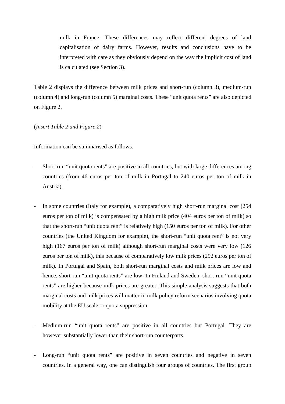milk in France. These differences may reflect different degrees of land capitalisation of dairy farms. However, results and conclusions have to be interpreted with care as they obviously depend on the way the implicit cost of land is calculated (see Section 3).

Table 2 displays the difference between milk prices and short-run (column 3), medium-run (column 4) and long-run (column 5) marginal costs. These "unit quota rents" are also depicted on Figure 2.

(*Insert Table 2 and Figure 2*)

Information can be summarised as follows.

- Short-run "unit quota rents" are positive in all countries, but with large differences among countries (from 46 euros per ton of milk in Portugal to 240 euros per ton of milk in Austria).
- In some countries (Italy for example), a comparatively high short-run marginal cost (254) euros per ton of milk) is compensated by a high milk price (404 euros per ton of milk) so that the short-run "unit quota rent" is relatively high (150 euros per ton of milk). For other countries (the United Kingdom for example), the short-run "unit quota rent" is not very high (167 euros per ton of milk) although short-run marginal costs were very low (126 euros per ton of milk), this because of comparatively low milk prices (292 euros per ton of milk). In Portugal and Spain, both short-run marginal costs and milk prices are low and hence, short-run "unit quota rents" are low. In Finland and Sweden, short-run "unit quota rents" are higher because milk prices are greater. This simple analysis suggests that both marginal costs and milk prices will matter in milk policy reform scenarios involving quota mobility at the EU scale or quota suppression.
- Medium-run "unit quota rents" are positive in all countries but Portugal. They are however substantially lower than their short-run counterparts.
- Long-run "unit quota rents" are positive in seven countries and negative in seven countries. In a general way, one can distinguish four groups of countries. The first group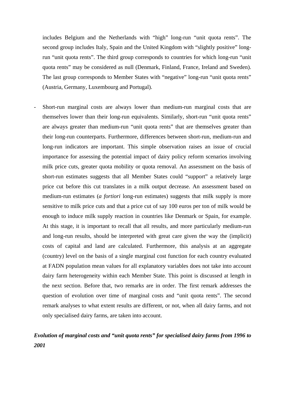includes Belgium and the Netherlands with "high" long-run "unit quota rents". The second group includes Italy, Spain and the United Kingdom with "slightly positive" longrun "unit quota rents". The third group corresponds to countries for which long-run "unit quota rents" may be considered as null (Denmark, Finland, France, Ireland and Sweden). The last group corresponds to Member States with "negative" long-run "unit quota rents" (Austria, Germany, Luxembourg and Portugal).

Short-run marginal costs are always lower than medium-run marginal costs that are themselves lower than their long-run equivalents. Similarly, short-run "unit quota rents" are always greater than medium-run "unit quota rents" that are themselves greater than their long-run counterparts. Furthermore, differences between short-run, medium-run and long-run indicators are important. This simple observation raises an issue of crucial importance for assessing the potential impact of dairy policy reform scenarios involving milk price cuts, greater quota mobility or quota removal. An assessment on the basis of short-run estimates suggests that all Member States could "support" a relatively large price cut before this cut translates in a milk output decrease. An assessment based on medium-run estimates (*a fortiori* long-run estimates) suggests that milk supply is more sensitive to milk price cuts and that a price cut of say 100 euros per ton of milk would be enough to induce milk supply reaction in countries like Denmark or Spain, for example. At this stage, it is important to recall that all results, and more particularly medium-run and long-run results, should be interpreted with great care given the way the (implicit) costs of capital and land are calculated. Furthermore, this analysis at an aggregate (country) level on the basis of a single marginal cost function for each country evaluated at FADN population mean values for all explanatory variables does not take into account dairy farm heterogeneity within each Member State. This point is discussed at length in the next section. Before that, two remarks are in order. The first remark addresses the question of evolution over time of marginal costs and "unit quota rents". The second remark analyses to what extent results are different, or not, when all dairy farms, and not only specialised dairy farms, are taken into account.

# *Evolution of marginal costs and "unit quota rents" for specialised dairy farms from 1996 to 2001*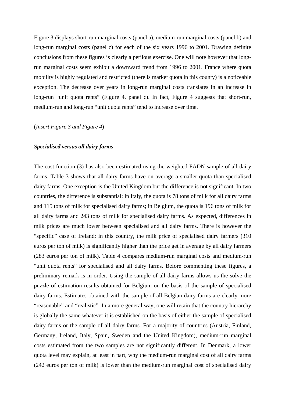Figure 3 displays short-run marginal costs (panel a), medium-run marginal costs (panel b) and long-run marginal costs (panel c) for each of the six years 1996 to 2001. Drawing definite conclusions from these figures is clearly a perilous exercise. One will note however that longrun marginal costs seem exhibit a downward trend from 1996 to 2001. France where quota mobility is highly regulated and restricted (there is market quota in this county) is a noticeable exception. The decrease over years in long-run marginal costs translates in an increase in long-run "unit quota rents" (Figure 4, panel c). In fact, Figure 4 suggests that short-run, medium-run and long-run "unit quota rents" tend to increase over time.

#### (*Insert Figure 3 and Figure 4*)

#### *Specialised versus all dairy farms*

The cost function (3) has also been estimated using the weighted FADN sample of all dairy farms. Table 3 shows that all dairy farms have on average a smaller quota than specialised dairy farms. One exception is the United Kingdom but the difference is not significant. In two countries, the difference is substantial: in Italy, the quota is 78 tons of milk for all dairy farms and 115 tons of milk for specialised dairy farms; in Belgium, the quota is 196 tons of milk for all dairy farms and 243 tons of milk for specialised dairy farms. As expected, differences in milk prices are much lower between specialised and all dairy farms. There is however the "specific" case of Ireland: in this country, the milk price of specialised dairy farmers (310 euros per ton of milk) is significantly higher than the price get in average by all dairy farmers (283 euros per ton of milk). Table 4 compares medium-run marginal costs and medium-run "unit quota rents" for specialised and all dairy farms. Before commenting these figures, a preliminary remark is in order. Using the sample of all dairy farms allows us the solve the puzzle of estimation results obtained for Belgium on the basis of the sample of specialised dairy farms. Estimates obtained with the sample of all Belgian dairy farms are clearly more "reasonable" and "realistic". In a more general way, one will retain that the country hierarchy is globally the same whatever it is established on the basis of either the sample of specialised dairy farms or the sample of all dairy farms. For a majority of countries (Austria, Finland, Germany, Ireland, Italy, Spain, Sweden and the United Kingdom), medium-run marginal costs estimated from the two samples are not significantly different. In Denmark, a lower quota level may explain, at least in part, why the medium-run marginal cost of all dairy farms (242 euros per ton of milk) is lower than the medium-run marginal cost of specialised dairy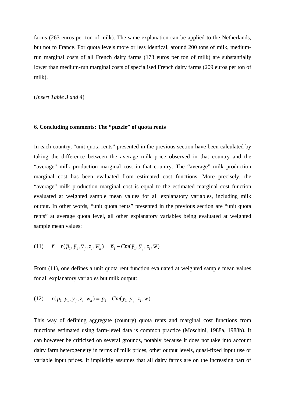farms (263 euros per ton of milk). The same explanation can be applied to the Netherlands, but not to France. For quota levels more or less identical, around 200 tons of milk, mediumrun marginal costs of all French dairy farms (173 euros per ton of milk) are substantially lower than medium-run marginal costs of specialised French dairy farms (209 euros per ton of milk).

(*Insert Table 3 and 4*)

#### **6. Concluding comments: The "puzzle" of quota rents**

In each country, "unit quota rents" presented in the previous section have been calculated by taking the difference between the average milk price observed in that country and the "average" milk production marginal cost in that country. The "average" milk production marginal cost has been evaluated from estimated cost functions. More precisely, the "average" milk production marginal cost is equal to the estimated marginal cost function evaluated at weighted sample mean values for all explanatory variables, including milk output. In other words, "unit quota rents" presented in the previous section are "unit quota rents" at average quota level, all other explanatory variables being evaluated at weighted sample mean values:

(11) 
$$
\overline{r} = r(\overline{p}_1, \overline{y}_1, \overline{y}_j, \overline{z}_l, \overline{w}_n) = \overline{p}_1 - Cm(\overline{y}_1, \overline{y}_j, \overline{z}_l, \overline{w})
$$

From (11), one defines a unit quota rent function evaluated at weighted sample mean values for all explanatory variables but milk output:

(12) 
$$
r(\overline{p}_1, y_1, \overline{y}_j, \overline{z}_l, \overline{w}_n) = \overline{p}_1 - Cm(y_1, \overline{y}_j, \overline{z}_l, \overline{w})
$$

This way of defining aggregate (country) quota rents and marginal cost functions from functions estimated using farm-level data is common practice (Moschini, 1988a, 1988b). It can however be criticised on several grounds, notably because it does not take into account dairy farm heterogeneity in terms of milk prices, other output levels, quasi-fixed input use or variable input prices. It implicitly assumes that all dairy farms are on the increasing part of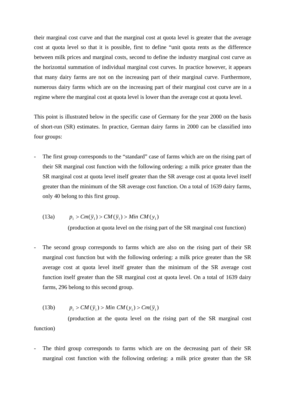their marginal cost curve and that the marginal cost at quota level is greater that the average cost at quota level so that it is possible, first to define "unit quota rents as the difference between milk prices and marginal costs, second to define the industry marginal cost curve as the horizontal summation of individual marginal cost curves. In practice however, it appears that many dairy farms are not on the increasing part of their marginal curve. Furthermore, numerous dairy farms which are on the increasing part of their marginal cost curve are in a regime where the marginal cost at quota level is lower than the average cost at quota level.

This point is illustrated below in the specific case of Germany for the year 2000 on the basis of short-run (SR) estimates. In practice, German dairy farms in 2000 can be classified into four groups:

The first group corresponds to the "standard" case of farms which are on the rising part of their SR marginal cost function with the following ordering: a milk price greater than the SR marginal cost at quota level itself greater than the SR average cost at quota level itself greater than the minimum of the SR average cost function. On a total of 1639 dairy farms, only 40 belong to this first group.

(13a) 
$$
p_1 > Cm(\bar{y}_1) > CM(\bar{y}_1) > Min CM(y_1)
$$

(production at quota level on the rising part of the SR marginal cost function)

The second group corresponds to farms which are also on the rising part of their SR marginal cost function but with the following ordering: a milk price greater than the SR average cost at quota level itself greater than the minimum of the SR average cost function itself greater than the SR marginal cost at quota level. On a total of 1639 dairy farms, 296 belong to this second group.

(13b) 
$$
p_1 > CM(\overline{y}_1) > Min CM(y_1) > Cm(\overline{y}_1)
$$

 (production at the quota level on the rising part of the SR marginal cost function)

The third group corresponds to farms which are on the decreasing part of their SR marginal cost function with the following ordering: a milk price greater than the SR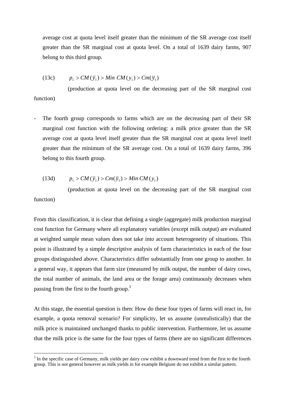average cost at quota level itself greater than the minimum of the SR average cost itself greater than the SR marginal cost at quota level. On a total of 1639 dairy farms, 907 belong to this third group.

$$
(13c) \t\t p1 > CM(\bar{y}1) > Min CM(y1) > Cm(\bar{y}1)
$$

 (production at quota level on the decreasing part of the SR marginal cost function)

The fourth group corresponds to farms which are on the decreasing part of their SR marginal cost function with the following ordering: a milk price greater than the SR average cost at quota level itself greater than the SR marginal cost at quota level itself greater than the minimum of the SR average cost. On a total of 1639 dairy farms, 396 belong to this fourth group.

$$
(13d) \t\t p1 > CM(\bar{y}1) > Cm(\bar{y}1) > Min CM(y1)
$$

 $\overline{a}$ 

 (production at quota level on the decreasing part of the SR marginal cost function)

From this classification, it is clear that defining a single (aggregate) milk production marginal cost function for Germany where all explanatory variables (except milk output) are evaluated at weighted sample mean values does not take into account heterogeneity of situations. This point is illustrated by a simple descriptive analysis of farm characteristics in each of the four groups distinguished above. Characteristics differ substantially from one group to another. In a general way, it appears that farm size (measured by milk output, the number of dairy cows, the total number of animals, the land area or the forage area) continuously decreases when passing from the first to the fourth group.<sup>3</sup>

At this stage, the essential question is then: How do these four types of farms will react in, for example, a quota removal scenario? For simplicity, let us assume (unrealistically) that the milk price is maintained unchanged thanks to public intervention. Furthermore, let us assume that the milk price is the same for the four types of farms (there are no significant differences

 $3$  In the specific case of Germany, milk yields per dairy cow exhibit a downward trend from the first to the fourth group. This is not general however as milk yields in for example Belgium do not exhibit a similar pattern.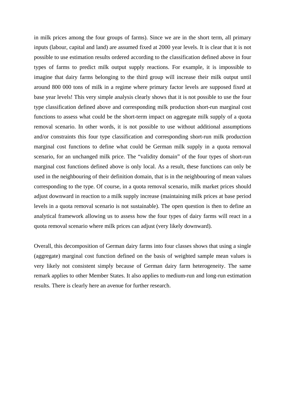in milk prices among the four groups of farms). Since we are in the short term, all primary inputs (labour, capital and land) are assumed fixed at 2000 year levels. It is clear that it is not possible to use estimation results ordered according to the classification defined above in four types of farms to predict milk output supply reactions. For example, it is impossible to imagine that dairy farms belonging to the third group will increase their milk output until around 800 000 tons of milk in a regime where primary factor levels are supposed fixed at base year levels! This very simple analysis clearly shows that it is not possible to use the four type classification defined above and corresponding milk production short-run marginal cost functions to assess what could be the short-term impact on aggregate milk supply of a quota removal scenario. In other words, it is not possible to use without additional assumptions and/or constraints this four type classification and corresponding short-run milk production marginal cost functions to define what could be German milk supply in a quota removal scenario, for an unchanged milk price. The "validity domain" of the four types of short-run marginal cost functions defined above is only local. As a result, these functions can only be used in the neighbouring of their definition domain, that is in the neighbouring of mean values corresponding to the type. Of course, in a quota removal scenario, milk market prices should adjust downward in reaction to a milk supply increase (maintaining milk prices at base period levels in a quota removal scenario is not sustainable). The open question is then to define an analytical framework allowing us to assess how the four types of dairy farms will react in a quota removal scenario where milk prices can adjust (very likely downward).

Overall, this decomposition of German dairy farms into four classes shows that using a single (aggregate) marginal cost function defined on the basis of weighted sample mean values is very likely not consistent simply because of German dairy farm heterogeneity. The same remark applies to other Member States. It also applies to medium-run and long-run estimation results. There is clearly here an avenue for further research.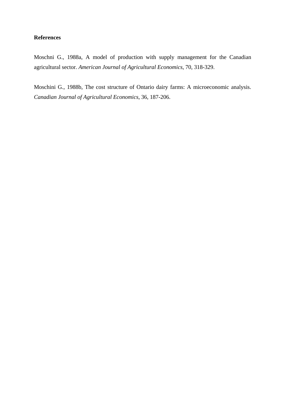## **References**

Moschni G., 1988a, A model of production with supply management for the Canadian agricultural sector. *American Journal of Agricultural Economics*, 70, 318-329.

Moschini G., 1988b, The cost structure of Ontario dairy farms: A microeconomic analysis. *Canadian Journal of Agricultural Economics*, 36, 187-206.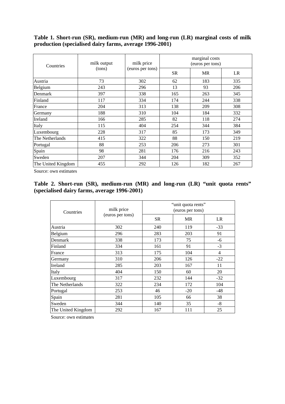**Table 1. Short-run (SR), medium-run (MR) and long-run (LR) marginal costs of milk production (specialised dairy farms, average 1996-2001)** 

| Countries          | milk output<br>(tons) | milk price<br>(euros per tons) | marginal costs<br>(euros per tons) |           |     |
|--------------------|-----------------------|--------------------------------|------------------------------------|-----------|-----|
|                    |                       |                                | <b>SR</b>                          | <b>MR</b> | LR  |
| Austria            | 73                    | 302                            | 62                                 | 183       | 335 |
| Belgium            | 243                   | 296                            | 13                                 | 93        | 206 |
| Denmark            | 397                   | 338                            | 165                                | 263       | 345 |
| Finland            | 117                   | 334                            | 174                                | 244       | 338 |
| France             | 204                   | 313                            | 138                                | 209       | 308 |
| Germany            | 188                   | 310                            | 104                                | 184       | 332 |
| Ireland            | 166                   | 285                            | 82                                 | 118       | 274 |
| Italy              | 115                   | 404                            | 254                                | 344       | 384 |
| Luxembourg         | 228                   | 317                            | 85                                 | 173       | 349 |
| The Netherlands    | 415                   | 322                            | 88                                 | 150       | 219 |
| Portugal           | 88                    | 253                            | 206                                | 273       | 301 |
| Spain              | 98                    | 281                            | 176                                | 216       | 243 |
| Sweden             | 207                   | 344                            | 204                                | 309       | 352 |
| The United Kingdom | 455                   | 292                            | 126                                | 182       | 267 |

Source: own estimates

**Table 2. Short-run (SR), medium-run (MR) and long-run (LR) "unit quota rents" (specialised dairy farms, average 1996-2001)** 

| Countries          | milk price<br>(euros per tons) | "unit quota rents"<br>(euros per tons) |           |                |  |
|--------------------|--------------------------------|----------------------------------------|-----------|----------------|--|
|                    |                                | <b>SR</b>                              | <b>MR</b> | LR             |  |
| Austria            | 302                            | 240                                    | 119       | $-33$          |  |
| Belgium            | 296                            | 283                                    | 203       | 91             |  |
| Denmark            | 338                            | 173                                    | 75        | $-6$           |  |
| Finland            | 334                            | 161                                    | 91        | $-3$           |  |
| France             | 313                            | 175                                    | 104       | $\overline{4}$ |  |
| Germany            | 310                            | 206                                    | 126       | $-22$          |  |
| Ireland            | 285                            | 203                                    | 167       | 11             |  |
| Italy              | 404                            | 150                                    | 60        | 20             |  |
| Luxembourg         | 317                            | 232                                    | 144       | $-32$          |  |
| The Netherlands    | 322                            | 234                                    | 172       | 104            |  |
| Portugal           | 253                            | 46                                     | $-20$     | -48            |  |
| Spain              | 281                            | 105                                    | 66        | 38             |  |
| Sweden             | 344                            | 140                                    | 35        | $-8$           |  |
| The United Kingdom | 292                            | 167                                    | 111       | 25             |  |

Source: own estimates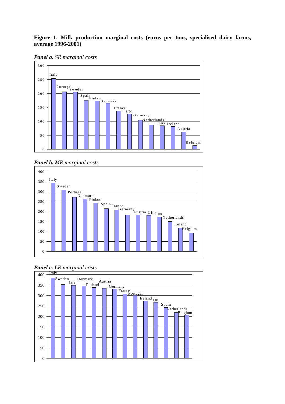# **Figure 1. Milk production marginal costs (euros per tons, specialised dairy farms, average 1996-2001)**

*Panel a. SR marginal costs* 



*Panel b. MR marginal costs* 





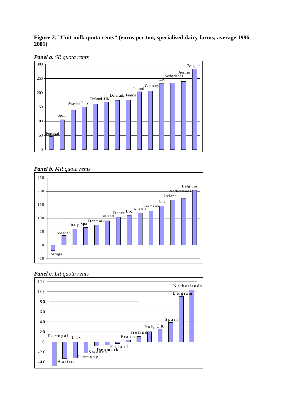# **Figure 2. "Unit milk quota rents" (euros per ton, specialised dairy farms, average 1996- 2001)**





### *Panel b. MR quota rents*





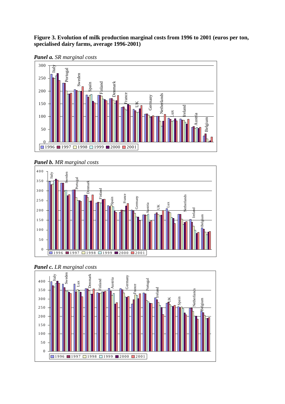# **Figure 3. Evolution of milk production marginal costs from 1996 to 2001 (euros per ton, specialised dairy farms, average 1996-2001)**



*Panel a. SR marginal costs* 







*Panel c. LR marginal costs*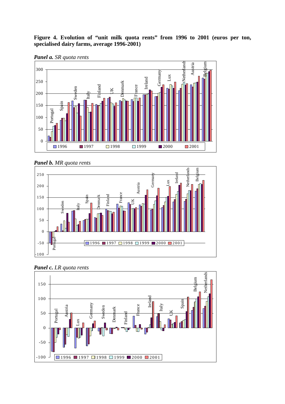**Figure 4. Evolution of "unit milk quota rents" from 1996 to 2001 (euros per ton, specialised dairy farms, average 1996-2001)** 











*Panel c. LR quota rents*